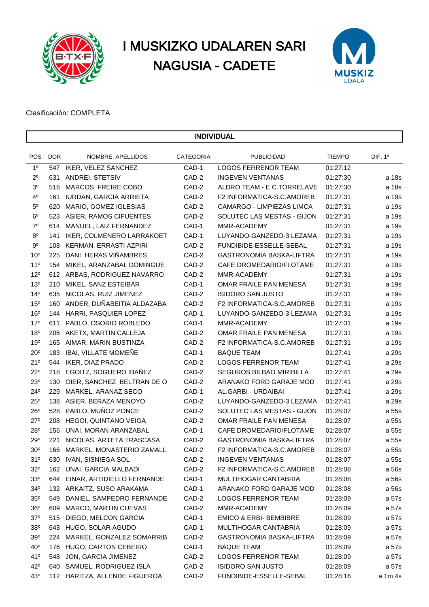

# I MUSKIZKO UDALAREN SARI NAGUSIA - CADETE



Clasificación: COMPLETA

| DIF. 1º<br><b>POS</b><br><b>DOR</b><br>NOMBRE, APELLIDOS<br><b>CATEGORIA</b><br><b>PUBLICIDAD</b><br><b>TIEMPO</b><br>1 <sup>0</sup><br>CAD-1<br><b>LOGOS FERRENOR TEAM</b><br>547 IKER, VELEZ SANCHEZ<br>01:27:12<br>$2^{\circ}$<br>ANDREI, STETSIV<br>CAD-2<br><b>INGEVEN VENTANAS</b><br>01:27:30<br>631<br>a 18s<br>3 <sup>o</sup><br>CAD-2<br>MARCOS, FREIRE COBO<br>ALDRO TEAM - E.C.TORRELAVE<br>01:27:30<br>a 18s<br>518<br>$4^{\circ}$<br>CAD-2<br><b>IURDAN, GARCIA ARRIETA</b><br>F2 INFORMATICA-S.C.AMOREB<br>01:27:31<br>a 19s<br>161<br>$5^{\circ}$<br>CAD-2<br>MARIO, GOMEZ IGLESIAS<br>CAMARGO - LIMPIEZAS LIMCA<br>01:27:31<br>a 19s<br>620<br>$6^{\circ}$<br>CAD-2<br>SOLUTEC LAS MESTAS - GIJON<br>01:27:31<br>523 ASIER, RAMOS CIFUENTES<br>a 19s<br>$7^{\circ}$<br>CAD-1<br>01:27:31<br>614<br>MANUEL, LAIZ FERNANDEZ<br>MMR-ACADEMY<br>a 19s<br>$8^{\rm o}$<br>IKER, COLMENERO LARRAKOET<br>CAD-1<br>LUYANDO-GANZEDO-3 LEZAMA<br>01:27:31<br>a 19s<br>141<br>$9^{\circ}$<br>CAD-2<br>KERMAN, ERRASTI AZPIRI<br>FUNDIBIDE-ESSELLE-SEBAL<br>01:27:31<br>a 19s<br>108<br>10 <sup>o</sup><br>DANI, HERAS VIÑAMBRES<br>CAD-2<br>GASTRONOMIA BASKA-LIFTRA<br>01:27:31<br>225<br>a 19s<br>11 <sup>0</sup><br>MIKEL, ARANZABAL DOMINGUE<br>CAD-2<br>CAFE DROMEDARIO/FLOTAME<br>01:27:31<br>154<br>a 19s<br>$12^{o}$<br>612 ARBAS, RODRIGUEZ NAVARRO<br>CAD-2<br>MMR-ACADEMY<br>01:27:31<br>a 19s<br>13 <sup>o</sup><br>CAD-1<br>OMAR FRAILE PAN MENESA<br>01:27:31<br>a 19s<br>210<br>MIKEL, SANZ ESTEIBAR<br>14 <sup>°</sup><br>NICOLAS, RUIZ JIMENEZ<br>CAD-2<br><b>ISIDORO SAN JUSTO</b><br>01:27:31<br>635<br>a 19s<br>15 <sup>o</sup><br>ANDER, DUÑABEITIA ALDAZABA<br>CAD-2<br>F2 INFORMATICA-S.C.AMOREB<br>160<br>01:27:31<br>a 19s<br>16 <sup>o</sup><br>HARRI, PASQUIER LOPEZ<br>CAD-1<br>01:27:31<br>144<br>LUYANDO-GANZEDO-3 LEZAMA<br>a 19s<br>17 <sup>o</sup><br>PABLO, OSORIO ROBLEDO<br>CAD-1<br>MMR-ACADEMY<br>01:27:31<br>611<br>a 19s<br>18 <sup>o</sup><br>AKETX, MARTIN CALLEJA<br>CAD-2<br>OMAR FRAILE PAN MENESA<br>01:27:31<br>206<br>a 19s<br>19 <sup>o</sup><br>AIMAR, MARIN BUSTINZA<br>CAD-2<br>165<br>F2 INFORMATICA-S.C.AMOREB<br>01:27:31<br>a 19s<br>$20^{\circ}$<br>IBAI, VILLATE MOMEÑE<br>CAD-1<br><b>BAQUE TEAM</b><br>183<br>01:27:41<br>a 29s<br>21°<br><b>IKER, DIAZ PRADO</b><br>CAD-2<br><b>LOGOS FERRENOR TEAM</b><br>01:27:41<br>544<br>a 29s<br>$22^{\circ}$<br>EGOITZ, SOGUERO IBAÑEZ<br>CAD-2<br>SEGUROS BILBAO MIRIBILLA<br>01:27:41<br>218<br>a 29s<br>23 <sup>o</sup><br>OIER, SANCHEZ BELTRAN DE O<br>CAD-2<br>ARANAKO FORD GARAJE MOD<br>130<br>01:27:41<br>a 29s<br>$24^{\circ}$<br>MARKEL, ARANAZ SECO<br>CAD-1<br>AL.GARBI - URDAIBAI<br>01:27:41<br>229<br>a 29s<br>$25^{\circ}$<br>CAD-2<br>LUYANDO-GANZEDO-3 LEZAMA<br>01:27:41<br>138<br>ASIER, BERAZA MENOYO<br>a 29s<br>$26^{\circ}$<br>PABLO, MUÑOZ PONCE<br>CAD-2<br>SOLUTEC LAS MESTAS - GIJON<br>01:28:07<br>528<br>a 55s<br>$27^\circ$<br>HEGOI, QUINTANO VEIGA<br>CAD-2<br>OMAR FRAILE PAN MENESA<br>208<br>01:28:07<br>a 55s<br>28°<br>UNAI, MORAN ARANZABAL<br>CAD-1<br>CAFE DROMEDARIO/FLOTAME<br>156<br>01:28:07<br>a 55s<br>29°<br>221<br>NICOLAS, ARTETA TRASCASA<br>CAD-2<br>GASTRONOMIA BASKA-LIFTRA<br>01:28:07<br>a 55s<br>30 <sup>o</sup><br>MARKEL, MONASTERIO ZAMALL<br>CAD-2<br>F2 INFORMATICA-S.C.AMOREB<br>01:28:07<br>a 55s<br>166<br>31 <sup>o</sup><br>630 IVAN, SISNIEGA SOL<br>CAD-2<br><b>INGEVEN VENTANAS</b><br>01:28:07<br>a 55s<br>$32^{\circ}$<br>CAD-2<br>162 UNAI, GARCIA MALBADI<br>F2 INFORMATICA-S.C.AMOREB<br>01:28:08<br>a 56s<br>33 <sup>o</sup><br>CAD-1<br>EINAR, ARTIDIELLO FERNANDE<br>MULTIHOGAR CANTABRIA<br>01:28:08<br>a 56s<br>644<br>$34^{\circ}$<br>132 ARKAITZ, SUSO ARAKAMA<br>CAD-1<br>ARANAKO FORD GARAJE MOD<br>01:28:08<br>a 56s<br>$35^{\circ}$<br>549<br>DANIEL, SAMPEDRO FERNANDE<br>CAD-2<br><b>LOGOS FERRENOR TEAM</b><br>01:28:09<br>a 57s<br>$36^{\circ}$<br>MARCO, MARTIN CUEVAS<br>CAD-2<br>MMR-ACADEMY<br>01:28:09<br>a 57s<br>609<br>$37^\circ$<br>DIEGO, MELCON GARCIA<br>CAD-1<br>EMICO & ERBI- BEMBIBRE<br>01:28:09<br>515<br>a 57s<br>38 <sup>o</sup><br>643 HUGO, SOLAR AGUDO<br>CAD-1<br>MULTIHOGAR CANTABRIA<br>01:28:09<br>a 57s<br>39°<br>MARKEL, GONZALEZ SOMARRIB<br>CAD-2<br>GASTRONOMIA BASKA-LIFTRA<br>01:28:09<br>224<br>a 57s<br>40 <sup>o</sup><br>176 HUGO, CARTON CEBEIRO<br>CAD-1<br><b>BAQUE TEAM</b><br>01:28:09<br>a 57s<br>41°<br>548<br>JON, GARCIA JIMENEZ<br>CAD-2<br><b>LOGOS FERRENOR TEAM</b><br>01:28:09<br>a 57s<br>$42^{\circ}$<br>640 SAMUEL, RODRIGUEZ ISLA<br>CAD-2<br><b>ISIDORO SAN JUSTO</b><br>01:28:09<br>a 57s<br>$43^\circ$<br>112 HARITZA, ALLENDE FIGUEROA<br>CAD-2<br>FUNDIBIDE-ESSELLE-SEBAL<br>01:28:16<br>a 1m 4s | <b>INDIVIDUAL</b> |  |  |  |  |  |  |  |  |
|------------------------------------------------------------------------------------------------------------------------------------------------------------------------------------------------------------------------------------------------------------------------------------------------------------------------------------------------------------------------------------------------------------------------------------------------------------------------------------------------------------------------------------------------------------------------------------------------------------------------------------------------------------------------------------------------------------------------------------------------------------------------------------------------------------------------------------------------------------------------------------------------------------------------------------------------------------------------------------------------------------------------------------------------------------------------------------------------------------------------------------------------------------------------------------------------------------------------------------------------------------------------------------------------------------------------------------------------------------------------------------------------------------------------------------------------------------------------------------------------------------------------------------------------------------------------------------------------------------------------------------------------------------------------------------------------------------------------------------------------------------------------------------------------------------------------------------------------------------------------------------------------------------------------------------------------------------------------------------------------------------------------------------------------------------------------------------------------------------------------------------------------------------------------------------------------------------------------------------------------------------------------------------------------------------------------------------------------------------------------------------------------------------------------------------------------------------------------------------------------------------------------------------------------------------------------------------------------------------------------------------------------------------------------------------------------------------------------------------------------------------------------------------------------------------------------------------------------------------------------------------------------------------------------------------------------------------------------------------------------------------------------------------------------------------------------------------------------------------------------------------------------------------------------------------------------------------------------------------------------------------------------------------------------------------------------------------------------------------------------------------------------------------------------------------------------------------------------------------------------------------------------------------------------------------------------------------------------------------------------------------------------------------------------------------------------------------------------------------------------------------------------------------------------------------------------------------------------------------------------------------------------------------------------------------------------------------------------------------------------------------------------------------------------------------------------------------------------------------------------------------------------------------------------------------------------------------------------------------------------------------------------------------------------------------------------------------------------------------------------------------------------------------------------------------------------------------------------------------------------------------------------------------------------------------------------------------------------------------------------------------------------------------------------------------------------------------------------------------------------------------------|-------------------|--|--|--|--|--|--|--|--|
|                                                                                                                                                                                                                                                                                                                                                                                                                                                                                                                                                                                                                                                                                                                                                                                                                                                                                                                                                                                                                                                                                                                                                                                                                                                                                                                                                                                                                                                                                                                                                                                                                                                                                                                                                                                                                                                                                                                                                                                                                                                                                                                                                                                                                                                                                                                                                                                                                                                                                                                                                                                                                                                                                                                                                                                                                                                                                                                                                                                                                                                                                                                                                                                                                                                                                                                                                                                                                                                                                                                                                                                                                                                                                                                                                                                                                                                                                                                                                                                                                                                                                                                                                                                                                                                                                                                                                                                                                                                                                                                                                                                                                                                                                                                                                                  |                   |  |  |  |  |  |  |  |  |
|                                                                                                                                                                                                                                                                                                                                                                                                                                                                                                                                                                                                                                                                                                                                                                                                                                                                                                                                                                                                                                                                                                                                                                                                                                                                                                                                                                                                                                                                                                                                                                                                                                                                                                                                                                                                                                                                                                                                                                                                                                                                                                                                                                                                                                                                                                                                                                                                                                                                                                                                                                                                                                                                                                                                                                                                                                                                                                                                                                                                                                                                                                                                                                                                                                                                                                                                                                                                                                                                                                                                                                                                                                                                                                                                                                                                                                                                                                                                                                                                                                                                                                                                                                                                                                                                                                                                                                                                                                                                                                                                                                                                                                                                                                                                                                  |                   |  |  |  |  |  |  |  |  |
|                                                                                                                                                                                                                                                                                                                                                                                                                                                                                                                                                                                                                                                                                                                                                                                                                                                                                                                                                                                                                                                                                                                                                                                                                                                                                                                                                                                                                                                                                                                                                                                                                                                                                                                                                                                                                                                                                                                                                                                                                                                                                                                                                                                                                                                                                                                                                                                                                                                                                                                                                                                                                                                                                                                                                                                                                                                                                                                                                                                                                                                                                                                                                                                                                                                                                                                                                                                                                                                                                                                                                                                                                                                                                                                                                                                                                                                                                                                                                                                                                                                                                                                                                                                                                                                                                                                                                                                                                                                                                                                                                                                                                                                                                                                                                                  |                   |  |  |  |  |  |  |  |  |
|                                                                                                                                                                                                                                                                                                                                                                                                                                                                                                                                                                                                                                                                                                                                                                                                                                                                                                                                                                                                                                                                                                                                                                                                                                                                                                                                                                                                                                                                                                                                                                                                                                                                                                                                                                                                                                                                                                                                                                                                                                                                                                                                                                                                                                                                                                                                                                                                                                                                                                                                                                                                                                                                                                                                                                                                                                                                                                                                                                                                                                                                                                                                                                                                                                                                                                                                                                                                                                                                                                                                                                                                                                                                                                                                                                                                                                                                                                                                                                                                                                                                                                                                                                                                                                                                                                                                                                                                                                                                                                                                                                                                                                                                                                                                                                  |                   |  |  |  |  |  |  |  |  |
|                                                                                                                                                                                                                                                                                                                                                                                                                                                                                                                                                                                                                                                                                                                                                                                                                                                                                                                                                                                                                                                                                                                                                                                                                                                                                                                                                                                                                                                                                                                                                                                                                                                                                                                                                                                                                                                                                                                                                                                                                                                                                                                                                                                                                                                                                                                                                                                                                                                                                                                                                                                                                                                                                                                                                                                                                                                                                                                                                                                                                                                                                                                                                                                                                                                                                                                                                                                                                                                                                                                                                                                                                                                                                                                                                                                                                                                                                                                                                                                                                                                                                                                                                                                                                                                                                                                                                                                                                                                                                                                                                                                                                                                                                                                                                                  |                   |  |  |  |  |  |  |  |  |
|                                                                                                                                                                                                                                                                                                                                                                                                                                                                                                                                                                                                                                                                                                                                                                                                                                                                                                                                                                                                                                                                                                                                                                                                                                                                                                                                                                                                                                                                                                                                                                                                                                                                                                                                                                                                                                                                                                                                                                                                                                                                                                                                                                                                                                                                                                                                                                                                                                                                                                                                                                                                                                                                                                                                                                                                                                                                                                                                                                                                                                                                                                                                                                                                                                                                                                                                                                                                                                                                                                                                                                                                                                                                                                                                                                                                                                                                                                                                                                                                                                                                                                                                                                                                                                                                                                                                                                                                                                                                                                                                                                                                                                                                                                                                                                  |                   |  |  |  |  |  |  |  |  |
|                                                                                                                                                                                                                                                                                                                                                                                                                                                                                                                                                                                                                                                                                                                                                                                                                                                                                                                                                                                                                                                                                                                                                                                                                                                                                                                                                                                                                                                                                                                                                                                                                                                                                                                                                                                                                                                                                                                                                                                                                                                                                                                                                                                                                                                                                                                                                                                                                                                                                                                                                                                                                                                                                                                                                                                                                                                                                                                                                                                                                                                                                                                                                                                                                                                                                                                                                                                                                                                                                                                                                                                                                                                                                                                                                                                                                                                                                                                                                                                                                                                                                                                                                                                                                                                                                                                                                                                                                                                                                                                                                                                                                                                                                                                                                                  |                   |  |  |  |  |  |  |  |  |
|                                                                                                                                                                                                                                                                                                                                                                                                                                                                                                                                                                                                                                                                                                                                                                                                                                                                                                                                                                                                                                                                                                                                                                                                                                                                                                                                                                                                                                                                                                                                                                                                                                                                                                                                                                                                                                                                                                                                                                                                                                                                                                                                                                                                                                                                                                                                                                                                                                                                                                                                                                                                                                                                                                                                                                                                                                                                                                                                                                                                                                                                                                                                                                                                                                                                                                                                                                                                                                                                                                                                                                                                                                                                                                                                                                                                                                                                                                                                                                                                                                                                                                                                                                                                                                                                                                                                                                                                                                                                                                                                                                                                                                                                                                                                                                  |                   |  |  |  |  |  |  |  |  |
|                                                                                                                                                                                                                                                                                                                                                                                                                                                                                                                                                                                                                                                                                                                                                                                                                                                                                                                                                                                                                                                                                                                                                                                                                                                                                                                                                                                                                                                                                                                                                                                                                                                                                                                                                                                                                                                                                                                                                                                                                                                                                                                                                                                                                                                                                                                                                                                                                                                                                                                                                                                                                                                                                                                                                                                                                                                                                                                                                                                                                                                                                                                                                                                                                                                                                                                                                                                                                                                                                                                                                                                                                                                                                                                                                                                                                                                                                                                                                                                                                                                                                                                                                                                                                                                                                                                                                                                                                                                                                                                                                                                                                                                                                                                                                                  |                   |  |  |  |  |  |  |  |  |
|                                                                                                                                                                                                                                                                                                                                                                                                                                                                                                                                                                                                                                                                                                                                                                                                                                                                                                                                                                                                                                                                                                                                                                                                                                                                                                                                                                                                                                                                                                                                                                                                                                                                                                                                                                                                                                                                                                                                                                                                                                                                                                                                                                                                                                                                                                                                                                                                                                                                                                                                                                                                                                                                                                                                                                                                                                                                                                                                                                                                                                                                                                                                                                                                                                                                                                                                                                                                                                                                                                                                                                                                                                                                                                                                                                                                                                                                                                                                                                                                                                                                                                                                                                                                                                                                                                                                                                                                                                                                                                                                                                                                                                                                                                                                                                  |                   |  |  |  |  |  |  |  |  |
|                                                                                                                                                                                                                                                                                                                                                                                                                                                                                                                                                                                                                                                                                                                                                                                                                                                                                                                                                                                                                                                                                                                                                                                                                                                                                                                                                                                                                                                                                                                                                                                                                                                                                                                                                                                                                                                                                                                                                                                                                                                                                                                                                                                                                                                                                                                                                                                                                                                                                                                                                                                                                                                                                                                                                                                                                                                                                                                                                                                                                                                                                                                                                                                                                                                                                                                                                                                                                                                                                                                                                                                                                                                                                                                                                                                                                                                                                                                                                                                                                                                                                                                                                                                                                                                                                                                                                                                                                                                                                                                                                                                                                                                                                                                                                                  |                   |  |  |  |  |  |  |  |  |
|                                                                                                                                                                                                                                                                                                                                                                                                                                                                                                                                                                                                                                                                                                                                                                                                                                                                                                                                                                                                                                                                                                                                                                                                                                                                                                                                                                                                                                                                                                                                                                                                                                                                                                                                                                                                                                                                                                                                                                                                                                                                                                                                                                                                                                                                                                                                                                                                                                                                                                                                                                                                                                                                                                                                                                                                                                                                                                                                                                                                                                                                                                                                                                                                                                                                                                                                                                                                                                                                                                                                                                                                                                                                                                                                                                                                                                                                                                                                                                                                                                                                                                                                                                                                                                                                                                                                                                                                                                                                                                                                                                                                                                                                                                                                                                  |                   |  |  |  |  |  |  |  |  |
|                                                                                                                                                                                                                                                                                                                                                                                                                                                                                                                                                                                                                                                                                                                                                                                                                                                                                                                                                                                                                                                                                                                                                                                                                                                                                                                                                                                                                                                                                                                                                                                                                                                                                                                                                                                                                                                                                                                                                                                                                                                                                                                                                                                                                                                                                                                                                                                                                                                                                                                                                                                                                                                                                                                                                                                                                                                                                                                                                                                                                                                                                                                                                                                                                                                                                                                                                                                                                                                                                                                                                                                                                                                                                                                                                                                                                                                                                                                                                                                                                                                                                                                                                                                                                                                                                                                                                                                                                                                                                                                                                                                                                                                                                                                                                                  |                   |  |  |  |  |  |  |  |  |
|                                                                                                                                                                                                                                                                                                                                                                                                                                                                                                                                                                                                                                                                                                                                                                                                                                                                                                                                                                                                                                                                                                                                                                                                                                                                                                                                                                                                                                                                                                                                                                                                                                                                                                                                                                                                                                                                                                                                                                                                                                                                                                                                                                                                                                                                                                                                                                                                                                                                                                                                                                                                                                                                                                                                                                                                                                                                                                                                                                                                                                                                                                                                                                                                                                                                                                                                                                                                                                                                                                                                                                                                                                                                                                                                                                                                                                                                                                                                                                                                                                                                                                                                                                                                                                                                                                                                                                                                                                                                                                                                                                                                                                                                                                                                                                  |                   |  |  |  |  |  |  |  |  |
|                                                                                                                                                                                                                                                                                                                                                                                                                                                                                                                                                                                                                                                                                                                                                                                                                                                                                                                                                                                                                                                                                                                                                                                                                                                                                                                                                                                                                                                                                                                                                                                                                                                                                                                                                                                                                                                                                                                                                                                                                                                                                                                                                                                                                                                                                                                                                                                                                                                                                                                                                                                                                                                                                                                                                                                                                                                                                                                                                                                                                                                                                                                                                                                                                                                                                                                                                                                                                                                                                                                                                                                                                                                                                                                                                                                                                                                                                                                                                                                                                                                                                                                                                                                                                                                                                                                                                                                                                                                                                                                                                                                                                                                                                                                                                                  |                   |  |  |  |  |  |  |  |  |
|                                                                                                                                                                                                                                                                                                                                                                                                                                                                                                                                                                                                                                                                                                                                                                                                                                                                                                                                                                                                                                                                                                                                                                                                                                                                                                                                                                                                                                                                                                                                                                                                                                                                                                                                                                                                                                                                                                                                                                                                                                                                                                                                                                                                                                                                                                                                                                                                                                                                                                                                                                                                                                                                                                                                                                                                                                                                                                                                                                                                                                                                                                                                                                                                                                                                                                                                                                                                                                                                                                                                                                                                                                                                                                                                                                                                                                                                                                                                                                                                                                                                                                                                                                                                                                                                                                                                                                                                                                                                                                                                                                                                                                                                                                                                                                  |                   |  |  |  |  |  |  |  |  |
|                                                                                                                                                                                                                                                                                                                                                                                                                                                                                                                                                                                                                                                                                                                                                                                                                                                                                                                                                                                                                                                                                                                                                                                                                                                                                                                                                                                                                                                                                                                                                                                                                                                                                                                                                                                                                                                                                                                                                                                                                                                                                                                                                                                                                                                                                                                                                                                                                                                                                                                                                                                                                                                                                                                                                                                                                                                                                                                                                                                                                                                                                                                                                                                                                                                                                                                                                                                                                                                                                                                                                                                                                                                                                                                                                                                                                                                                                                                                                                                                                                                                                                                                                                                                                                                                                                                                                                                                                                                                                                                                                                                                                                                                                                                                                                  |                   |  |  |  |  |  |  |  |  |
|                                                                                                                                                                                                                                                                                                                                                                                                                                                                                                                                                                                                                                                                                                                                                                                                                                                                                                                                                                                                                                                                                                                                                                                                                                                                                                                                                                                                                                                                                                                                                                                                                                                                                                                                                                                                                                                                                                                                                                                                                                                                                                                                                                                                                                                                                                                                                                                                                                                                                                                                                                                                                                                                                                                                                                                                                                                                                                                                                                                                                                                                                                                                                                                                                                                                                                                                                                                                                                                                                                                                                                                                                                                                                                                                                                                                                                                                                                                                                                                                                                                                                                                                                                                                                                                                                                                                                                                                                                                                                                                                                                                                                                                                                                                                                                  |                   |  |  |  |  |  |  |  |  |
|                                                                                                                                                                                                                                                                                                                                                                                                                                                                                                                                                                                                                                                                                                                                                                                                                                                                                                                                                                                                                                                                                                                                                                                                                                                                                                                                                                                                                                                                                                                                                                                                                                                                                                                                                                                                                                                                                                                                                                                                                                                                                                                                                                                                                                                                                                                                                                                                                                                                                                                                                                                                                                                                                                                                                                                                                                                                                                                                                                                                                                                                                                                                                                                                                                                                                                                                                                                                                                                                                                                                                                                                                                                                                                                                                                                                                                                                                                                                                                                                                                                                                                                                                                                                                                                                                                                                                                                                                                                                                                                                                                                                                                                                                                                                                                  |                   |  |  |  |  |  |  |  |  |
|                                                                                                                                                                                                                                                                                                                                                                                                                                                                                                                                                                                                                                                                                                                                                                                                                                                                                                                                                                                                                                                                                                                                                                                                                                                                                                                                                                                                                                                                                                                                                                                                                                                                                                                                                                                                                                                                                                                                                                                                                                                                                                                                                                                                                                                                                                                                                                                                                                                                                                                                                                                                                                                                                                                                                                                                                                                                                                                                                                                                                                                                                                                                                                                                                                                                                                                                                                                                                                                                                                                                                                                                                                                                                                                                                                                                                                                                                                                                                                                                                                                                                                                                                                                                                                                                                                                                                                                                                                                                                                                                                                                                                                                                                                                                                                  |                   |  |  |  |  |  |  |  |  |
|                                                                                                                                                                                                                                                                                                                                                                                                                                                                                                                                                                                                                                                                                                                                                                                                                                                                                                                                                                                                                                                                                                                                                                                                                                                                                                                                                                                                                                                                                                                                                                                                                                                                                                                                                                                                                                                                                                                                                                                                                                                                                                                                                                                                                                                                                                                                                                                                                                                                                                                                                                                                                                                                                                                                                                                                                                                                                                                                                                                                                                                                                                                                                                                                                                                                                                                                                                                                                                                                                                                                                                                                                                                                                                                                                                                                                                                                                                                                                                                                                                                                                                                                                                                                                                                                                                                                                                                                                                                                                                                                                                                                                                                                                                                                                                  |                   |  |  |  |  |  |  |  |  |
|                                                                                                                                                                                                                                                                                                                                                                                                                                                                                                                                                                                                                                                                                                                                                                                                                                                                                                                                                                                                                                                                                                                                                                                                                                                                                                                                                                                                                                                                                                                                                                                                                                                                                                                                                                                                                                                                                                                                                                                                                                                                                                                                                                                                                                                                                                                                                                                                                                                                                                                                                                                                                                                                                                                                                                                                                                                                                                                                                                                                                                                                                                                                                                                                                                                                                                                                                                                                                                                                                                                                                                                                                                                                                                                                                                                                                                                                                                                                                                                                                                                                                                                                                                                                                                                                                                                                                                                                                                                                                                                                                                                                                                                                                                                                                                  |                   |  |  |  |  |  |  |  |  |
|                                                                                                                                                                                                                                                                                                                                                                                                                                                                                                                                                                                                                                                                                                                                                                                                                                                                                                                                                                                                                                                                                                                                                                                                                                                                                                                                                                                                                                                                                                                                                                                                                                                                                                                                                                                                                                                                                                                                                                                                                                                                                                                                                                                                                                                                                                                                                                                                                                                                                                                                                                                                                                                                                                                                                                                                                                                                                                                                                                                                                                                                                                                                                                                                                                                                                                                                                                                                                                                                                                                                                                                                                                                                                                                                                                                                                                                                                                                                                                                                                                                                                                                                                                                                                                                                                                                                                                                                                                                                                                                                                                                                                                                                                                                                                                  |                   |  |  |  |  |  |  |  |  |
|                                                                                                                                                                                                                                                                                                                                                                                                                                                                                                                                                                                                                                                                                                                                                                                                                                                                                                                                                                                                                                                                                                                                                                                                                                                                                                                                                                                                                                                                                                                                                                                                                                                                                                                                                                                                                                                                                                                                                                                                                                                                                                                                                                                                                                                                                                                                                                                                                                                                                                                                                                                                                                                                                                                                                                                                                                                                                                                                                                                                                                                                                                                                                                                                                                                                                                                                                                                                                                                                                                                                                                                                                                                                                                                                                                                                                                                                                                                                                                                                                                                                                                                                                                                                                                                                                                                                                                                                                                                                                                                                                                                                                                                                                                                                                                  |                   |  |  |  |  |  |  |  |  |
|                                                                                                                                                                                                                                                                                                                                                                                                                                                                                                                                                                                                                                                                                                                                                                                                                                                                                                                                                                                                                                                                                                                                                                                                                                                                                                                                                                                                                                                                                                                                                                                                                                                                                                                                                                                                                                                                                                                                                                                                                                                                                                                                                                                                                                                                                                                                                                                                                                                                                                                                                                                                                                                                                                                                                                                                                                                                                                                                                                                                                                                                                                                                                                                                                                                                                                                                                                                                                                                                                                                                                                                                                                                                                                                                                                                                                                                                                                                                                                                                                                                                                                                                                                                                                                                                                                                                                                                                                                                                                                                                                                                                                                                                                                                                                                  |                   |  |  |  |  |  |  |  |  |
|                                                                                                                                                                                                                                                                                                                                                                                                                                                                                                                                                                                                                                                                                                                                                                                                                                                                                                                                                                                                                                                                                                                                                                                                                                                                                                                                                                                                                                                                                                                                                                                                                                                                                                                                                                                                                                                                                                                                                                                                                                                                                                                                                                                                                                                                                                                                                                                                                                                                                                                                                                                                                                                                                                                                                                                                                                                                                                                                                                                                                                                                                                                                                                                                                                                                                                                                                                                                                                                                                                                                                                                                                                                                                                                                                                                                                                                                                                                                                                                                                                                                                                                                                                                                                                                                                                                                                                                                                                                                                                                                                                                                                                                                                                                                                                  |                   |  |  |  |  |  |  |  |  |
|                                                                                                                                                                                                                                                                                                                                                                                                                                                                                                                                                                                                                                                                                                                                                                                                                                                                                                                                                                                                                                                                                                                                                                                                                                                                                                                                                                                                                                                                                                                                                                                                                                                                                                                                                                                                                                                                                                                                                                                                                                                                                                                                                                                                                                                                                                                                                                                                                                                                                                                                                                                                                                                                                                                                                                                                                                                                                                                                                                                                                                                                                                                                                                                                                                                                                                                                                                                                                                                                                                                                                                                                                                                                                                                                                                                                                                                                                                                                                                                                                                                                                                                                                                                                                                                                                                                                                                                                                                                                                                                                                                                                                                                                                                                                                                  |                   |  |  |  |  |  |  |  |  |
|                                                                                                                                                                                                                                                                                                                                                                                                                                                                                                                                                                                                                                                                                                                                                                                                                                                                                                                                                                                                                                                                                                                                                                                                                                                                                                                                                                                                                                                                                                                                                                                                                                                                                                                                                                                                                                                                                                                                                                                                                                                                                                                                                                                                                                                                                                                                                                                                                                                                                                                                                                                                                                                                                                                                                                                                                                                                                                                                                                                                                                                                                                                                                                                                                                                                                                                                                                                                                                                                                                                                                                                                                                                                                                                                                                                                                                                                                                                                                                                                                                                                                                                                                                                                                                                                                                                                                                                                                                                                                                                                                                                                                                                                                                                                                                  |                   |  |  |  |  |  |  |  |  |
|                                                                                                                                                                                                                                                                                                                                                                                                                                                                                                                                                                                                                                                                                                                                                                                                                                                                                                                                                                                                                                                                                                                                                                                                                                                                                                                                                                                                                                                                                                                                                                                                                                                                                                                                                                                                                                                                                                                                                                                                                                                                                                                                                                                                                                                                                                                                                                                                                                                                                                                                                                                                                                                                                                                                                                                                                                                                                                                                                                                                                                                                                                                                                                                                                                                                                                                                                                                                                                                                                                                                                                                                                                                                                                                                                                                                                                                                                                                                                                                                                                                                                                                                                                                                                                                                                                                                                                                                                                                                                                                                                                                                                                                                                                                                                                  |                   |  |  |  |  |  |  |  |  |
|                                                                                                                                                                                                                                                                                                                                                                                                                                                                                                                                                                                                                                                                                                                                                                                                                                                                                                                                                                                                                                                                                                                                                                                                                                                                                                                                                                                                                                                                                                                                                                                                                                                                                                                                                                                                                                                                                                                                                                                                                                                                                                                                                                                                                                                                                                                                                                                                                                                                                                                                                                                                                                                                                                                                                                                                                                                                                                                                                                                                                                                                                                                                                                                                                                                                                                                                                                                                                                                                                                                                                                                                                                                                                                                                                                                                                                                                                                                                                                                                                                                                                                                                                                                                                                                                                                                                                                                                                                                                                                                                                                                                                                                                                                                                                                  |                   |  |  |  |  |  |  |  |  |
|                                                                                                                                                                                                                                                                                                                                                                                                                                                                                                                                                                                                                                                                                                                                                                                                                                                                                                                                                                                                                                                                                                                                                                                                                                                                                                                                                                                                                                                                                                                                                                                                                                                                                                                                                                                                                                                                                                                                                                                                                                                                                                                                                                                                                                                                                                                                                                                                                                                                                                                                                                                                                                                                                                                                                                                                                                                                                                                                                                                                                                                                                                                                                                                                                                                                                                                                                                                                                                                                                                                                                                                                                                                                                                                                                                                                                                                                                                                                                                                                                                                                                                                                                                                                                                                                                                                                                                                                                                                                                                                                                                                                                                                                                                                                                                  |                   |  |  |  |  |  |  |  |  |
|                                                                                                                                                                                                                                                                                                                                                                                                                                                                                                                                                                                                                                                                                                                                                                                                                                                                                                                                                                                                                                                                                                                                                                                                                                                                                                                                                                                                                                                                                                                                                                                                                                                                                                                                                                                                                                                                                                                                                                                                                                                                                                                                                                                                                                                                                                                                                                                                                                                                                                                                                                                                                                                                                                                                                                                                                                                                                                                                                                                                                                                                                                                                                                                                                                                                                                                                                                                                                                                                                                                                                                                                                                                                                                                                                                                                                                                                                                                                                                                                                                                                                                                                                                                                                                                                                                                                                                                                                                                                                                                                                                                                                                                                                                                                                                  |                   |  |  |  |  |  |  |  |  |
|                                                                                                                                                                                                                                                                                                                                                                                                                                                                                                                                                                                                                                                                                                                                                                                                                                                                                                                                                                                                                                                                                                                                                                                                                                                                                                                                                                                                                                                                                                                                                                                                                                                                                                                                                                                                                                                                                                                                                                                                                                                                                                                                                                                                                                                                                                                                                                                                                                                                                                                                                                                                                                                                                                                                                                                                                                                                                                                                                                                                                                                                                                                                                                                                                                                                                                                                                                                                                                                                                                                                                                                                                                                                                                                                                                                                                                                                                                                                                                                                                                                                                                                                                                                                                                                                                                                                                                                                                                                                                                                                                                                                                                                                                                                                                                  |                   |  |  |  |  |  |  |  |  |
|                                                                                                                                                                                                                                                                                                                                                                                                                                                                                                                                                                                                                                                                                                                                                                                                                                                                                                                                                                                                                                                                                                                                                                                                                                                                                                                                                                                                                                                                                                                                                                                                                                                                                                                                                                                                                                                                                                                                                                                                                                                                                                                                                                                                                                                                                                                                                                                                                                                                                                                                                                                                                                                                                                                                                                                                                                                                                                                                                                                                                                                                                                                                                                                                                                                                                                                                                                                                                                                                                                                                                                                                                                                                                                                                                                                                                                                                                                                                                                                                                                                                                                                                                                                                                                                                                                                                                                                                                                                                                                                                                                                                                                                                                                                                                                  |                   |  |  |  |  |  |  |  |  |
|                                                                                                                                                                                                                                                                                                                                                                                                                                                                                                                                                                                                                                                                                                                                                                                                                                                                                                                                                                                                                                                                                                                                                                                                                                                                                                                                                                                                                                                                                                                                                                                                                                                                                                                                                                                                                                                                                                                                                                                                                                                                                                                                                                                                                                                                                                                                                                                                                                                                                                                                                                                                                                                                                                                                                                                                                                                                                                                                                                                                                                                                                                                                                                                                                                                                                                                                                                                                                                                                                                                                                                                                                                                                                                                                                                                                                                                                                                                                                                                                                                                                                                                                                                                                                                                                                                                                                                                                                                                                                                                                                                                                                                                                                                                                                                  |                   |  |  |  |  |  |  |  |  |
|                                                                                                                                                                                                                                                                                                                                                                                                                                                                                                                                                                                                                                                                                                                                                                                                                                                                                                                                                                                                                                                                                                                                                                                                                                                                                                                                                                                                                                                                                                                                                                                                                                                                                                                                                                                                                                                                                                                                                                                                                                                                                                                                                                                                                                                                                                                                                                                                                                                                                                                                                                                                                                                                                                                                                                                                                                                                                                                                                                                                                                                                                                                                                                                                                                                                                                                                                                                                                                                                                                                                                                                                                                                                                                                                                                                                                                                                                                                                                                                                                                                                                                                                                                                                                                                                                                                                                                                                                                                                                                                                                                                                                                                                                                                                                                  |                   |  |  |  |  |  |  |  |  |
|                                                                                                                                                                                                                                                                                                                                                                                                                                                                                                                                                                                                                                                                                                                                                                                                                                                                                                                                                                                                                                                                                                                                                                                                                                                                                                                                                                                                                                                                                                                                                                                                                                                                                                                                                                                                                                                                                                                                                                                                                                                                                                                                                                                                                                                                                                                                                                                                                                                                                                                                                                                                                                                                                                                                                                                                                                                                                                                                                                                                                                                                                                                                                                                                                                                                                                                                                                                                                                                                                                                                                                                                                                                                                                                                                                                                                                                                                                                                                                                                                                                                                                                                                                                                                                                                                                                                                                                                                                                                                                                                                                                                                                                                                                                                                                  |                   |  |  |  |  |  |  |  |  |
|                                                                                                                                                                                                                                                                                                                                                                                                                                                                                                                                                                                                                                                                                                                                                                                                                                                                                                                                                                                                                                                                                                                                                                                                                                                                                                                                                                                                                                                                                                                                                                                                                                                                                                                                                                                                                                                                                                                                                                                                                                                                                                                                                                                                                                                                                                                                                                                                                                                                                                                                                                                                                                                                                                                                                                                                                                                                                                                                                                                                                                                                                                                                                                                                                                                                                                                                                                                                                                                                                                                                                                                                                                                                                                                                                                                                                                                                                                                                                                                                                                                                                                                                                                                                                                                                                                                                                                                                                                                                                                                                                                                                                                                                                                                                                                  |                   |  |  |  |  |  |  |  |  |
|                                                                                                                                                                                                                                                                                                                                                                                                                                                                                                                                                                                                                                                                                                                                                                                                                                                                                                                                                                                                                                                                                                                                                                                                                                                                                                                                                                                                                                                                                                                                                                                                                                                                                                                                                                                                                                                                                                                                                                                                                                                                                                                                                                                                                                                                                                                                                                                                                                                                                                                                                                                                                                                                                                                                                                                                                                                                                                                                                                                                                                                                                                                                                                                                                                                                                                                                                                                                                                                                                                                                                                                                                                                                                                                                                                                                                                                                                                                                                                                                                                                                                                                                                                                                                                                                                                                                                                                                                                                                                                                                                                                                                                                                                                                                                                  |                   |  |  |  |  |  |  |  |  |
|                                                                                                                                                                                                                                                                                                                                                                                                                                                                                                                                                                                                                                                                                                                                                                                                                                                                                                                                                                                                                                                                                                                                                                                                                                                                                                                                                                                                                                                                                                                                                                                                                                                                                                                                                                                                                                                                                                                                                                                                                                                                                                                                                                                                                                                                                                                                                                                                                                                                                                                                                                                                                                                                                                                                                                                                                                                                                                                                                                                                                                                                                                                                                                                                                                                                                                                                                                                                                                                                                                                                                                                                                                                                                                                                                                                                                                                                                                                                                                                                                                                                                                                                                                                                                                                                                                                                                                                                                                                                                                                                                                                                                                                                                                                                                                  |                   |  |  |  |  |  |  |  |  |
|                                                                                                                                                                                                                                                                                                                                                                                                                                                                                                                                                                                                                                                                                                                                                                                                                                                                                                                                                                                                                                                                                                                                                                                                                                                                                                                                                                                                                                                                                                                                                                                                                                                                                                                                                                                                                                                                                                                                                                                                                                                                                                                                                                                                                                                                                                                                                                                                                                                                                                                                                                                                                                                                                                                                                                                                                                                                                                                                                                                                                                                                                                                                                                                                                                                                                                                                                                                                                                                                                                                                                                                                                                                                                                                                                                                                                                                                                                                                                                                                                                                                                                                                                                                                                                                                                                                                                                                                                                                                                                                                                                                                                                                                                                                                                                  |                   |  |  |  |  |  |  |  |  |
|                                                                                                                                                                                                                                                                                                                                                                                                                                                                                                                                                                                                                                                                                                                                                                                                                                                                                                                                                                                                                                                                                                                                                                                                                                                                                                                                                                                                                                                                                                                                                                                                                                                                                                                                                                                                                                                                                                                                                                                                                                                                                                                                                                                                                                                                                                                                                                                                                                                                                                                                                                                                                                                                                                                                                                                                                                                                                                                                                                                                                                                                                                                                                                                                                                                                                                                                                                                                                                                                                                                                                                                                                                                                                                                                                                                                                                                                                                                                                                                                                                                                                                                                                                                                                                                                                                                                                                                                                                                                                                                                                                                                                                                                                                                                                                  |                   |  |  |  |  |  |  |  |  |
|                                                                                                                                                                                                                                                                                                                                                                                                                                                                                                                                                                                                                                                                                                                                                                                                                                                                                                                                                                                                                                                                                                                                                                                                                                                                                                                                                                                                                                                                                                                                                                                                                                                                                                                                                                                                                                                                                                                                                                                                                                                                                                                                                                                                                                                                                                                                                                                                                                                                                                                                                                                                                                                                                                                                                                                                                                                                                                                                                                                                                                                                                                                                                                                                                                                                                                                                                                                                                                                                                                                                                                                                                                                                                                                                                                                                                                                                                                                                                                                                                                                                                                                                                                                                                                                                                                                                                                                                                                                                                                                                                                                                                                                                                                                                                                  |                   |  |  |  |  |  |  |  |  |
|                                                                                                                                                                                                                                                                                                                                                                                                                                                                                                                                                                                                                                                                                                                                                                                                                                                                                                                                                                                                                                                                                                                                                                                                                                                                                                                                                                                                                                                                                                                                                                                                                                                                                                                                                                                                                                                                                                                                                                                                                                                                                                                                                                                                                                                                                                                                                                                                                                                                                                                                                                                                                                                                                                                                                                                                                                                                                                                                                                                                                                                                                                                                                                                                                                                                                                                                                                                                                                                                                                                                                                                                                                                                                                                                                                                                                                                                                                                                                                                                                                                                                                                                                                                                                                                                                                                                                                                                                                                                                                                                                                                                                                                                                                                                                                  |                   |  |  |  |  |  |  |  |  |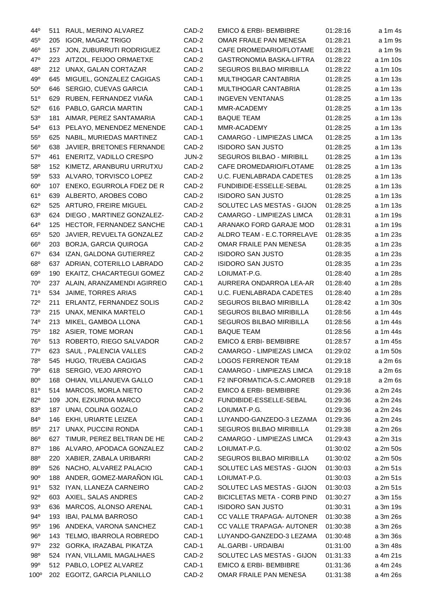| 44°             | 511 | RAUL, MERINO ALVAREZ            | CAD-2 | <b>EMICO &amp; ERBI- BEMBIBRE</b>  | 01:28:16 | a 1m 4s  |
|-----------------|-----|---------------------------------|-------|------------------------------------|----------|----------|
| $45^{\circ}$    | 205 | <b>IGOR, MAGAZ TRIGO</b>        | CAD-2 | OMAR FRAILE PAN MENESA             | 01:28:21 | a 1m 9s  |
| 46°             | 157 | JON, ZUBURRUTI RODRIGUEZ        | CAD-1 | CAFE DROMEDARIO/FLOTAME            | 01:28:21 | a 1m 9s  |
| 47°             | 223 | AITZOL, FEIJOO ORMAETXE         | CAD-2 | GASTRONOMIA BASKA-LIFTRA           | 01:28:22 | a 1m 10s |
| 48°             | 212 | UNAX, GALAN CORTAZAR            | CAD-2 | <b>SEGUROS BILBAO MIRIBILLA</b>    | 01:28:22 | a 1m 10s |
| 49°             | 645 | MIGUEL, GONZALEZ CAGIGAS        | CAD-1 | MULTIHOGAR CANTABRIA               | 01:28:25 | a 1m 13s |
| $50^{\rm o}$    | 646 | SERGIO, CUEVAS GARCIA           | CAD-1 | MULTIHOGAR CANTABRIA               | 01:28:25 | a 1m 13s |
| $51^{\circ}$    | 629 | RUBEN, FERNANDEZ VIAÑA          | CAD-1 | <b>INGEVEN VENTANAS</b>            | 01:28:25 | a 1m 13s |
| $52^{\circ}$    | 616 | PABLO, GARCIA MARTIN            | CAD-1 | MMR-ACADEMY                        | 01:28:25 | a 1m 13s |
| 53 <sup>o</sup> | 181 | AIMAR, PEREZ SANTAMARIA         | CAD-1 | <b>BAQUE TEAM</b>                  | 01:28:25 | a 1m 13s |
| $54^{\circ}$    | 613 | PELAYO, MENENDEZ MENENDE        | CAD-1 | MMR-ACADEMY                        | 01:28:25 | a 1m 13s |
| $55^{\circ}$    | 625 | NABIL, MURIEDAS MARTINEZ        | CAD-1 | CAMARGO - LIMPIEZAS LIMCA          | 01:28:25 | a 1m 13s |
| 56°             | 638 | JAVIER, BRETONES FERNANDE       | CAD-2 | <b>ISIDORO SAN JUSTO</b>           | 01:28:25 | a 1m 13s |
| $57^\circ$      | 461 | ENERITZ, VADILLO CRESPO         | JUN-2 | SEGUROS BILBAO - MIRIBILL          | 01:28:25 | a 1m 13s |
| $58^{\circ}$    | 152 | KIMETZ, ARANBURU URRUTXU        | CAD-2 | CAFE DROMEDARIO/FLOTAME            | 01:28:25 | a 1m 13s |
| 59°             | 533 | ALVARO, TORVISCO LOPEZ          | CAD-2 | U.C. FUENLABRADA CADETES           | 01:28:25 | a 1m 13s |
| 60 <sup>o</sup> | 107 | ENEKO, EGURROLA FDEZ DE R       | CAD-2 | FUNDIBIDE-ESSELLE-SEBAL            | 01:28:25 | a 1m 13s |
| 61°             | 639 | ALBERTO, AROBES COBO            | CAD-2 | <b>ISIDORO SAN JUSTO</b>           | 01:28:25 | a 1m 13s |
| 62°             | 525 | ARTURO, FREIRE MIGUEL           | CAD-2 | SOLUTEC LAS MESTAS - GIJON         | 01:28:25 | a 1m 13s |
| 63°             | 624 | DIEGO, MARTINEZ GONZALEZ-       | CAD-2 | CAMARGO - LIMPIEZAS LIMCA          | 01:28:31 | a 1m 19s |
| 64 <sup>o</sup> | 125 | <b>HECTOR, FERNANDEZ SANCHE</b> | CAD-1 | ARANAKO FORD GARAJE MOD            | 01:28:31 | a 1m 19s |
| $65^{\circ}$    | 520 | JAVIER, REVUELTA GONZALEZ       | CAD-2 | ALDRO TEAM - E.C.TORRELAVE         | 01:28:35 | a 1m 23s |
| $66^{\circ}$    | 203 | BORJA, GARCIA QUIROGA           | CAD-2 | OMAR FRAILE PAN MENESA             | 01:28:35 | a 1m 23s |
| $67^\circ$      | 634 | IZAN, GALDONA GUTIERREZ         | CAD-2 | <b>ISIDORO SAN JUSTO</b>           | 01:28:35 | a 1m 23s |
| 68°             | 637 | ADRIAN, COTERILLO LABRADO       | CAD-2 | <b>ISIDORO SAN JUSTO</b>           | 01:28:35 | a 1m 23s |
| 69°             | 190 | EKAITZ, CHACARTEGUI GOMEZ       | CAD-2 | LOIUMAT-P.G.                       | 01:28:40 | a 1m 28s |
| 70°             | 237 | ALAIN, ARANZAMENDI AGIRREO      | CAD-1 | AURRERA ONDARROA LEA-AR            | 01:28:40 | a 1m 28s |
| 71°             | 534 | JAIME, TORRES ARIAS             | CAD-1 | U.C. FUENLABRADA CADETES           | 01:28:40 | a 1m 28s |
| 72°             | 211 | ERLANTZ, FERNANDEZ SOLIS        | CAD-2 | SEGUROS BILBAO MIRIBILLA           | 01:28:42 | a 1m 30s |
| 73°             | 215 | UNAX, MENIKA MARTELO            | CAD-1 | SEGUROS BILBAO MIRIBILLA           | 01:28:56 | a 1m 44s |
| $74^{\circ}$    | 213 | MIKEL, GAMBOA LLONA             | CAD-1 | SEGUROS BILBAO MIRIBILLA           | 01:28:56 | a 1m 44s |
| <b>75°</b>      |     | 182 ASIER, TOME MORAN           | CAD-1 | <b>BAQUE TEAM</b>                  | 01:28:56 | a 1m 44s |
| <b>76°</b>      |     | 513 ROBERTO, RIEGO SALVADOR     | CAD-2 | <b>EMICO &amp; ERBI- BEMBIBRE</b>  | 01:28:57 | a 1m 45s |
| 77°             | 623 | SAUL, PALENCIA VALLES           | CAD-2 | CAMARGO - LIMPIEZAS LIMCA          | 01:29:02 | a 1m 50s |
| 78°             |     | 545 HUGO, TRUEBA CAGIGAS        | CAD-2 | <b>LOGOS FERRENOR TEAM</b>         | 01:29:18 | a 2m 6s  |
| 79 <sup>°</sup> | 618 | SERGIO, VEJO ARROYO             | CAD-1 | CAMARGO - LIMPIEZAS LIMCA          | 01:29:18 | a 2m 6s  |
| $80^\circ$      |     | 168 OHIAN, VILLANUEVA GALLO     | CAD-1 | F2 INFORMATICA-S.C.AMOREB          | 01:29:18 | a 2m 6s  |
| 81°             |     | 514 MARCOS, MORLA NIETO         | CAD-2 | <b>EMICO &amp; ERBI- BEMBIBRE</b>  | 01:29:36 | a 2m 24s |
| $82^{\circ}$    | 109 | JON, EZKURDIA MARCO             | CAD-2 | FUNDIBIDE-ESSELLE-SEBAL            | 01:29:36 | a 2m 24s |
| 83 <sup>o</sup> | 187 | UNAI, COLINA GOZALO             | CAD-2 | LOIUMAT-P.G.                       | 01:29:36 | a 2m 24s |
| 84°             | 146 | EKHI, URIARTE LEIZEA            | CAD-1 | LUYANDO-GANZEDO-3 LEZAMA           | 01:29:36 | a 2m 24s |
| $85^\circ$      | 217 | UNAX, PUCCINI RONDA             | CAD-1 | <b>SEGUROS BILBAO MIRIBILLA</b>    | 01:29:38 | a 2m 26s |
| 86°             | 627 | TIMUR, PEREZ BELTRAN DE HE      | CAD-2 | CAMARGO - LIMPIEZAS LIMCA          | 01:29:43 | a 2m 31s |
| 87°             | 186 | ALVARO, APODACA GONZALEZ        | CAD-2 | LOIUMAT-P.G.                       | 01:30:02 | a 2m 50s |
| 88°             | 220 | XABIER, ZABALA URIBARRI         | CAD-2 | SEGUROS BILBAO MIRIBILLA           | 01:30:02 | a 2m 50s |
| $89^\circ$      |     | 526 NACHO, ALVAREZ PALACIO      | CAD-1 | SOLUTEC LAS MESTAS - GIJON         | 01:30:03 | a 2m 51s |
| $90^{\circ}$    |     | 188 ANDER, GOMEZ-MARAÑON IGL    | CAD-1 | LOIUMAT-P.G.                       | 01:30:03 | a 2m 51s |
| 91°             |     | 532 IYAN, LLANEZA CARNEIRO      | CAD-2 | SOLUTEC LAS MESTAS - GIJON         | 01:30:03 | a 2m 51s |
| $92^{\circ}$    |     | 603 AXIEL, SALAS ANDRES         | CAD-2 | <b>BICICLETAS META - CORB PIND</b> | 01:30:27 | a 3m 15s |
| 93 <sup>o</sup> | 636 | MARCOS, ALONSO ARENAL           | CAD-1 | <b>ISIDORO SAN JUSTO</b>           | 01:30:31 | a 3m 19s |
| $94^{\circ}$    | 193 | IBAI, PALMA BARROSO             | CAD-1 | CC VALLE TRAPAGA- AUTONER          | 01:30:38 | a 3m 26s |
| $95^\circ$      | 196 | ANDEKA, VARONA SANCHEZ          | CAD-1 | CC VALLE TRAPAGA- AUTONER          | 01:30:38 | a 3m 26s |
| $96^{\circ}$    | 143 | TELMO, IBARROLA ROBREDO         | CAD-1 | LUYANDO-GANZEDO-3 LEZAMA           | 01:30:48 | a 3m 36s |
| $97^\circ$      |     | 232 GORKA, IRAZABAL PIKATZA     | CAD-1 | AL.GARBI - URDAIBAI                | 01:31:00 | a 3m 48s |
| $98^{\circ}$    |     | 524 IYAN, VILLAMIL MAGALHAES    | CAD-2 | SOLUTEC LAS MESTAS - GIJON         | 01:31:33 | a 4m 21s |
| 99°             |     | 512 PABLO, LOPEZ ALVAREZ        | CAD-1 | <b>EMICO &amp; ERBI- BEMBIBRE</b>  | 01:31:36 | a 4m 24s |
| $100^\circ$     |     | 202 EGOITZ, GARCIA PLANILLO     | CAD-2 | OMAR FRAILE PAN MENESA             | 01:31:38 | a 4m 26s |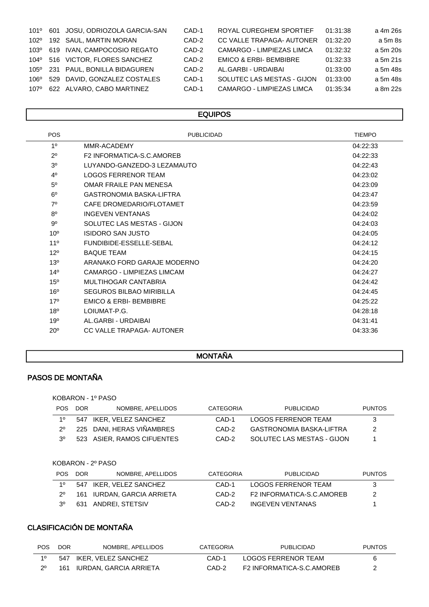| 101°          | 601 | JOSU, ODRIOZOLA GARCIA-SAN  | CAD-1   | ROYAL CUREGHEM SPORTIEF           | 01:31:38 | a 4m 26s |
|---------------|-----|-----------------------------|---------|-----------------------------------|----------|----------|
| 102°          |     | 192 SAUL, MARTIN MORAN      | CAD-2   | CC VALLE TRAPAGA- AUTONER         | 01:32:20 | a 5m 8s  |
| 103°          |     | 619 IVAN, CAMPOCOSIO REGATO | CAD-2   | CAMARGO - LIMPIEZAS LIMCA         | 01:32:32 | a 5m 20s |
| $104^{\circ}$ |     | 516 VICTOR, FLORES SANCHEZ  | CAD-2   | <b>EMICO &amp; ERBI- BEMBIBRE</b> | 01:32:33 | a 5m 21s |
| 105°          |     | 231 PAUL, BONILLA BIDAGUREN | CAD-2   | AL.GARBI - URDAIBAI               | 01:33:00 | a 5m 48s |
| 106°          | 529 | DAVID. GONZALEZ COSTALES    | $CAD-1$ | SOLUTEC LAS MESTAS - GIJON        | 01:33:00 | a 5m 48s |
| 107°          |     | 622 ALVARO, CABO MARTINEZ   | CAD-1   | <b>CAMARGO - LIMPIEZAS LIMCA</b>  | 01:35:34 | a 8m 22s |
|               |     |                             |         |                                   |          |          |

#### **EQUIPOS**

| <b>POS</b>      | <b>PUBLICIDAD</b>                 | <b>TIEMPO</b> |
|-----------------|-----------------------------------|---------------|
| 1 <sup>0</sup>  | MMR-ACADEMY                       | 04:22:33      |
| $2^{\circ}$     | F2 INFORMATICA-S.C.AMOREB         | 04:22:33      |
| 3 <sup>0</sup>  | LUYANDO-GANZEDO-3 LEZAMAUTO       | 04:22:43      |
| 4 <sup>0</sup>  | LOGOS FERRENOR TEAM               | 04:23:02      |
| 5 <sup>0</sup>  | OMAR FRAILE PAN MENESA            | 04:23:09      |
| $6^{\circ}$     | GASTRONOMIA BASKA-LIFTRA          | 04:23:47      |
| 70              | CAFE DROMEDARIO/FLOTAMET          | 04:23:59      |
| $8^{\circ}$     | <b>INGEVEN VENTANAS</b>           | 04:24:02      |
| $9^{\circ}$     | SOLUTEC LAS MESTAS - GIJON        | 04:24:03      |
| 10 <sup>o</sup> | <b>ISIDORO SAN JUSTO</b>          | 04:24:05      |
| 110             | FUNDIBIDE-ESSELLE-SEBAL           | 04:24:12      |
| 12 <sup>0</sup> | <b>BAQUE TEAM</b>                 | 04:24:15      |
| $13^{0}$        | ARANAKO FORD GARAJE MODERNO       | 04:24:20      |
| 14 <sup>°</sup> | CAMARGO - LIMPIEZAS LIMCAM        | 04:24:27      |
| $15^{o}$        | MULTIHOGAR CANTABRIA              | 04:24:42      |
| 16 <sup>o</sup> | SEGUROS BILBAO MIRIBILLA          | 04:24:45      |
| 17°             | <b>EMICO &amp; ERBI- BEMBIBRE</b> | 04:25:22      |
| 18 <sup>0</sup> | LOIUMAT-P.G.                      | 04:28:18      |
| 19°             | AL GARBI - URDAIBAI               | 04:31:41      |
| $20^{\circ}$    | CC VALLE TRAPAGA- AUTONER         | 04:33:36      |

## MONTAÑA

## PASOS DE MONTAÑA

| KOBARON - 1º PASO |  |  |
|-------------------|--|--|
|-------------------|--|--|

| <b>POS</b>  | DOR. | NOMBRE, APELLIDOS          | CATEGORIA | PUBLICIDAD                      | <b>PUNTOS</b> |
|-------------|------|----------------------------|-----------|---------------------------------|---------------|
| 10          |      | 547 IKER, VELEZ SANCHEZ    | CAD-1     | <b>LOGOS FERRENOR TEAM</b>      | 3             |
| 20          |      | 225 DANI, HERAS VIÑAMBRES  | CAD-2     | <b>GASTRONOMIA BASKA-LIFTRA</b> | -2            |
| $3^{\circ}$ |      | 523 ASIER, RAMOS CIFUENTES | CAD-2     | SOLUTEC LAS MESTAS - GIJON      |               |

KOBARON - 2º PASO

| <b>POS</b>  | DOR. | NOMBRE, APELLIDOS          | CATEGORIA | PUBLICIDAD                | <b>PUNTOS</b> |
|-------------|------|----------------------------|-----------|---------------------------|---------------|
| 10          |      | 547 IKER, VELEZ SANCHEZ    | CAD-1     | LOGOS FERRENOR TEAM       | -3            |
| $2^{\circ}$ |      | 161 IURDAN, GARCIA ARRIETA | CAD-2     | F2 INFORMATICA-S.C.AMOREB | 2             |
| -30         | 631  | ANDREI. STETSIV            | CAD-2     | <b>INGEVEN VENTANAS</b>   |               |

## CLASIFICACIÓN DE MONTAÑA

| <b>POS</b> | <b>DOR</b> | NOMBRE. APELLIDOS          | CATEGORIA | <b>PUBLICIDAD</b>         | <b>PUNTOS</b> |
|------------|------------|----------------------------|-----------|---------------------------|---------------|
| 10         |            | 547 IKER, VELEZ SANCHEZ    | CAD-1     | LOGOS FERRENOR TEAM       | 6             |
| 20         |            | 161 IURDAN, GARCIA ARRIETA | CAD-2     | F2 INFORMATICA-S.C.AMOREB |               |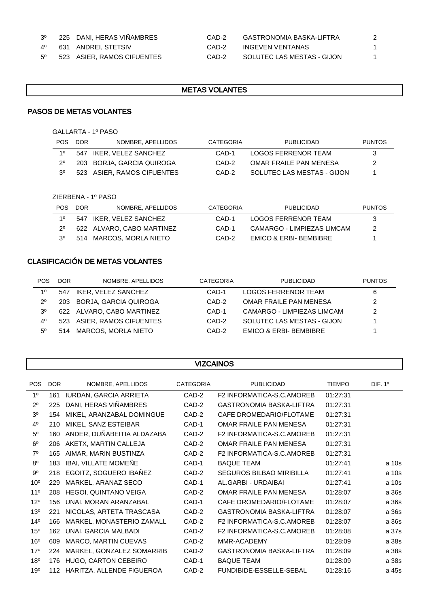#### 3º 225 DANI, HERAS VIÑAMBRES

|  |  |  | 523 ASIER, RAMOS CIFUENTES |
|--|--|--|----------------------------|
|--|--|--|----------------------------|

| 3º | 225 DANI, HERAS VIÑAMBRES  | CAD-2 | GASTRONOMIA BASKA-LIFTRA   |  |
|----|----------------------------|-------|----------------------------|--|
| 40 | 631 ANDREI, STETSIV        | CAD-2 | INGEVEN VENTANAS           |  |
| 50 | 523 ASIER, RAMOS CIFUENTES | CAD-2 | SOLUTEC LAS MESTAS - GIJON |  |

٦

#### METAS VOLANTES

#### PASOS DE METAS VOLANTES

GALLARTA - 1º PASO

| <b>POS</b> | DOR. | NOMBRE, APELLIDOS          | CATEGORIA | PUBLICIDAD                 | <b>PUNTOS</b> |
|------------|------|----------------------------|-----------|----------------------------|---------------|
| 10         |      | 547 IKER, VELEZ SANCHEZ    | CAD-1     | LOGOS FERRENOR TEAM        | 3             |
| 20         |      | 203 BORJA, GARCIA QUIROGA  | CAD-2     | OMAR FRAILE PAN MENESA     | 2             |
| 30         |      | 523 ASIER, RAMOS CIFUENTES | CAD-2     | SOLUTEC LAS MESTAS - GIJON |               |

ZIERBENA - 1º PASO

| POS. | <b>DOR</b> | NOMBRE, APELLIDOS         | CATEGORIA | PUBLICIDAD                 | <b>PUNTOS</b> |
|------|------------|---------------------------|-----------|----------------------------|---------------|
| 10   |            | 547 IKER. VELEZ SANCHEZ   | CAD-1     | LOGOS FERRENOR TEAM        | 3             |
|      |            | 622 ALVARO, CABO MARTINEZ | CAD-1     | CAMARGO - LIMPIEZAS LIMCAM | -2            |
| 30   |            | 514 MARCOS, MORLA NIETO   | CAD-2     | EMICO & ERBI- BEMBIBRE     |               |

### CLASIFICACIÓN DE METAS VOLANTES

ſ

| <b>POS</b>  | <b>DOR</b> | NOMBRE, APELLIDOS          | CATEGORIA | <b>PUBLICIDAD</b>                 | <b>PUNTOS</b> |
|-------------|------------|----------------------------|-----------|-----------------------------------|---------------|
| 10          | 547        | IKER. VELEZ SANCHEZ        | CAD-1     | LOGOS FERRENOR TEAM               | 6             |
| $2^{\circ}$ |            | 203 BORJA, GARCIA QUIROGA  | CAD-2     | OMAR FRAILE PAN MENESA            | 2             |
| 30          |            | 622 ALVARO, CABO MARTINEZ  | CAD-1     | CAMARGO - LIMPIEZAS LIMCAM        | 2             |
| $4^{\circ}$ |            | 523 ASIER, RAMOS CIFUENTES | CAD-2     | SOLUTEC LAS MESTAS - GIJON        |               |
| $5^{\circ}$ |            | 514 MARCOS, MORLA NIETO    | CAD-2     | <b>EMICO &amp; ERBI- BEMBIBRE</b> |               |

|                 | <b>VIZCAINOS</b> |                               |                  |                                  |               |                     |  |  |
|-----------------|------------------|-------------------------------|------------------|----------------------------------|---------------|---------------------|--|--|
| <b>POS</b>      | <b>DOR</b>       | NOMBRE, APELLIDOS             | <b>CATEGORIA</b> | <b>PUBLICIDAD</b>                | <b>TIEMPO</b> | DIF. 1 <sup>o</sup> |  |  |
| 1 <sup>0</sup>  | 161              | <b>IURDAN, GARCIA ARRIETA</b> | CAD-2            | F2 INFORMATICA-S.C.AMOREB        | 01:27:31      |                     |  |  |
| $2^{\circ}$     | 225              | DANI, HERAS VIÑAMBRES         | CAD-2            | <b>GASTRONOMIA BASKA-LIFTRA</b>  | 01:27:31      |                     |  |  |
| 3 <sup>0</sup>  | 154              | MIKEL, ARANZABAL DOMINGUE     | CAD-2            | CAFE DROMEDARIO/FLOTAME          | 01:27:31      |                     |  |  |
| 4 <sup>0</sup>  | 210              | MIKEL, SANZ ESTEIBAR          | CAD-1            | <b>OMAR FRAILE PAN MENESA</b>    | 01:27:31      |                     |  |  |
| 5 <sup>0</sup>  | 160              | ANDER, DUÑABEITIA ALDAZABA    | CAD-2            | <b>F2 INFORMATICA-S.C.AMOREB</b> | 01:27:31      |                     |  |  |
| 6 <sup>o</sup>  | 206              | AKETX, MARTIN CALLEJA         | CAD-2            | OMAR FRAILE PAN MENESA           | 01:27:31      |                     |  |  |
| $7^\circ$       | 165              | AIMAR, MARIN BUSTINZA         | CAD-2            | F2 INFORMATICA-S.C.AMOREB        | 01:27:31      |                     |  |  |
| 8 <sup>o</sup>  | 183              | IBAI, VILLATE MOMEÑE          | CAD-1            | <b>BAQUE TEAM</b>                | 01:27:41      | a 10s               |  |  |
| $9^{\circ}$     | 218              | EGOITZ, SOGUERO IBAÑEZ        | CAD-2            | <b>SEGUROS BILBAO MIRIBILLA</b>  | 01:27:41      | a 10s               |  |  |
| 10 <sup>o</sup> | 229              | MARKEL, ARANAZ SECO           | CAD-1            | AL.GARBI - URDAIBAI              | 01:27:41      | a 10s               |  |  |
| 11 <sup>0</sup> | 208              | <b>HEGOI, QUINTANO VEIGA</b>  | CAD-2            | OMAR FRAILE PAN MENESA           | 01:28:07      | a 36s               |  |  |
| $12^{o}$        | 156              | UNAI, MORAN ARANZABAL         | CAD-1            | CAFE DROMEDARIO/FLOTAME          | 01:28:07      | a 36s               |  |  |
| $13^{o}$        | 221              | NICOLAS, ARTETA TRASCASA      | CAD-2            | <b>GASTRONOMIA BASKA-LIFTRA</b>  | 01:28:07      | a 36s               |  |  |
| 14 <sup>0</sup> | 166              | MARKEL, MONASTERIO ZAMALL     | CAD-2            | F2 INFORMATICA-S.C.AMOREB        | 01:28:07      | a 36s               |  |  |
| 15 <sup>o</sup> | 162              | UNAI, GARCIA MALBADI          | CAD-2            | <b>F2 INFORMATICA-S.C.AMOREB</b> | 01:28:08      | a 37s               |  |  |
| 16 <sup>o</sup> | 609              | MARCO, MARTIN CUEVAS          | CAD-2            | MMR-ACADEMY                      | 01:28:09      | a 38s               |  |  |
| 17°             | 224              | MARKEL, GONZALEZ SOMARRIB     | CAD-2            | <b>GASTRONOMIA BASKA-LIFTRA</b>  | 01:28:09      | a 38s               |  |  |
| 18 <sup>o</sup> | 176              | HUGO, CARTON CEBEIRO          | CAD-1            | <b>BAQUE TEAM</b>                | 01:28:09      | a 38s               |  |  |
| 19 <sup>o</sup> | 112              | HARITZA, ALLENDE FIGUEROA     | CAD-2            | FUNDIBIDE-ESSELLE-SEBAL          | 01:28:16      | a 45s               |  |  |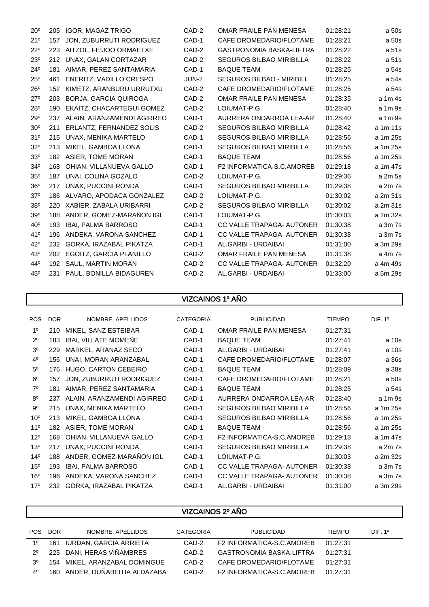| $20^{\circ}$    | 205 | <b>IGOR, MAGAZ TRIGO</b>     | CAD-2 | OMAR FRAILE PAN MENESA           | 01:28:21 | a 50s    |
|-----------------|-----|------------------------------|-------|----------------------------------|----------|----------|
| 21°             | 157 | JON, ZUBURRUTI RODRIGUEZ     | CAD-1 | CAFE DROMEDARIO/FLOTAME          | 01:28:21 | a 50s    |
| $22^{\circ}$    | 223 | AITZOL, FEIJOO ORMAETXE      | CAD-2 | <b>GASTRONOMIA BASKA-LIFTRA</b>  | 01:28:22 | a 51s    |
| $23^\circ$      | 212 | UNAX, GALAN CORTAZAR         | CAD-2 | <b>SEGUROS BILBAO MIRIBILLA</b>  | 01:28:22 | a 51s    |
| $24^{\circ}$    | 181 | AIMAR, PEREZ SANTAMARIA      | CAD-1 | <b>BAQUE TEAM</b>                | 01:28:25 | a 54s    |
| $25^\circ$      | 461 | ENERITZ, VADILLO CRESPO      | JUN-2 | <b>SEGUROS BILBAO - MIRIBILL</b> | 01:28:25 | a 54s    |
| $26^{\circ}$    | 152 | KIMETZ, ARANBURU URRUTXU     | CAD-2 | CAFE DROMEDARIO/FLOTAME          | 01:28:25 | a 54s    |
| $27^\circ$      | 203 | <b>BORJA, GARCIA QUIROGA</b> | CAD-2 | OMAR FRAILE PAN MENESA           | 01:28:35 | a 1m 4s  |
| $28^\circ$      | 190 | EKAITZ, CHACARTEGUI GOMEZ    | CAD-2 | LOIUMAT-P.G.                     | 01:28:40 | a 1m 9s  |
| $29^\circ$      | 237 | ALAIN, ARANZAMENDI AGIRREO   | CAD-1 | AURRERA ONDARROA LEA-AR          | 01:28:40 | a 1m 9s  |
| 30 <sup>o</sup> | 211 | ERLANTZ, FERNANDEZ SOLIS     | CAD-2 | <b>SEGUROS BILBAO MIRIBILLA</b>  | 01:28:42 | a 1m 11s |
| 31 <sup>o</sup> | 215 | UNAX, MENIKA MARTELO         | CAD-1 | <b>SEGUROS BILBAO MIRIBILLA</b>  | 01:28:56 | a 1m 25s |
| $32^{\circ}$    | 213 | MIKEL, GAMBOA LLONA          | CAD-1 | <b>SEGUROS BILBAO MIRIBILLA</b>  | 01:28:56 | a 1m 25s |
| 33 <sup>0</sup> |     | 182 ASIER, TOME MORAN        | CAD-1 | <b>BAQUE TEAM</b>                | 01:28:56 | a 1m 25s |
| 34 <sup>°</sup> | 168 | OHIAN, VILLANUEVA GALLO      | CAD-1 | F2 INFORMATICA-S.C.AMOREB        | 01:29:18 | a 1m 47s |
| $35^\circ$      | 187 | UNAI, COLINA GOZALO          | CAD-2 | LOIUMAT-P.G.                     | 01:29:36 | a 2m 5s  |
| 36 <sup>o</sup> | 217 | UNAX, PUCCINI RONDA          | CAD-1 | SEGUROS BILBAO MIRIBILLA         | 01:29:38 | a 2m 7s  |
| $37^\circ$      | 186 | ALVARO, APODACA GONZALEZ     | CAD-2 | LOIUMAT-P.G.                     | 01:30:02 | a 2m 31s |
| 38 <sup>o</sup> |     | 220 XABIER, ZABALA URIBARRI  | CAD-2 | <b>SEGUROS BILBAO MIRIBILLA</b>  | 01:30:02 | a 2m 31s |
| 39°             | 188 | ANDER, GOMEZ-MARAÑON IGL     | CAD-1 | LOIUMAT-P.G.                     | 01:30:03 | a 2m 32s |
| $40^\circ$      | 193 | <b>IBAI, PALMA BARROSO</b>   | CAD-1 | CC VALLE TRAPAGA- AUTONER        | 01:30:38 | a 3m 7s  |
| 41°             | 196 | ANDEKA, VARONA SANCHEZ       | CAD-1 | CC VALLE TRAPAGA- AUTONER        | 01:30:38 | a 3m 7s  |
| $42^{\circ}$    | 232 | GORKA, IRAZABAL PIKATZA      | CAD-1 | AL.GARBI - URDAIBAI              | 01:31:00 | a 3m 29s |
| $43^\circ$      | 202 | EGOITZ, GARCIA PLANILLO      | CAD-2 | OMAR FRAILE PAN MENESA           | 01:31:38 | a 4m 7s  |
| $44^\circ$      | 192 | SAUL, MARTIN MORAN           | CAD-2 | CC VALLE TRAPAGA- AUTONER        | 01:32:20 | a 4m 49s |
| $45^\circ$      | 231 | PAUL, BONILLA BIDAGUREN      | CAD-2 | AL.GARBI - URDAIBAI              | 01:33:00 | a 5m 29s |

## VIZCAINOS 1º AÑO

| <b>POS</b>      | <b>DOR</b> | NOMBRE, APELLIDOS          | <b>CATEGORIA</b> | <b>PUBLICIDAD</b>               | <b>TIEMPO</b> | DIF. 1 <sup>o</sup> |
|-----------------|------------|----------------------------|------------------|---------------------------------|---------------|---------------------|
| 1 <sup>0</sup>  | 210        | MIKEL, SANZ ESTEIBAR       | CAD-1            | OMAR FRAILE PAN MENESA          | 01:27:31      |                     |
| $2^{\circ}$     | 183        | IBAI, VILLATE MOMENE       | CAD-1            | <b>BAQUE TEAM</b>               | 01:27:41      | a 10s               |
| 3 <sup>0</sup>  | 229        | MARKEL, ARANAZ SECO        | CAD-1            | AL.GARBI - URDAIBAI             | 01:27:41      | a 10s               |
| 4 <sup>0</sup>  | 156        | UNAI, MORAN ARANZABAL      | CAD-1            | CAFE DROMEDARIO/FLOTAME         | 01:28:07      | a 36s               |
| $5^{\circ}$     | 176        | HUGO, CARTON CEBEIRO       | CAD-1            | <b>BAQUE TEAM</b>               | 01:28:09      | a 38s               |
| $6^{\circ}$     | 157        | JON, ZUBURRUTI RODRIGUEZ   | CAD-1            | CAFE DROMEDARIO/FLOTAME         | 01:28:21      | a 50s               |
| $7^\circ$       | 181        | AIMAR, PEREZ SANTAMARIA    | CAD-1            | <b>BAQUE TEAM</b>               | 01:28:25      | a 54s               |
| $8^{\circ}$     | 237        | ALAIN, ARANZAMENDI AGIRREO | CAD-1            | AURRERA ONDARROA LEA-AR         | 01:28:40      | a 1m 9s             |
| $9^{\circ}$     | 215        | UNAX, MENIKA MARTELO       | CAD-1            | <b>SEGUROS BILBAO MIRIBILLA</b> | 01:28:56      | a 1m 25s            |
| 10 <sup>o</sup> | 213        | MIKEL, GAMBOA LLONA        | CAD-1            | <b>SEGUROS BILBAO MIRIBILLA</b> | 01:28:56      | a 1m 25s            |
| 11 <sup>°</sup> | 182        | <b>ASIER, TOME MORAN</b>   | CAD-1            | <b>BAQUE TEAM</b>               | 01:28:56      | a 1m 25s            |
| $12^{\circ}$    | 168        | OHIAN, VILLANUEVA GALLO    | CAD-1            | F2 INFORMATICA-S.C.AMOREB       | 01:29:18      | a 1m 47s            |
| $13^{\circ}$    | 217        | UNAX, PUCCINI RONDA        | CAD-1            | <b>SEGUROS BILBAO MIRIBILLA</b> | 01:29:38      | a 2m 7s             |
| $14^{\circ}$    | 188        | ANDER, GOMEZ-MARAÑON IGL   | CAD-1            | LOIUMAT-P.G.                    | 01:30:03      | a 2m 32s            |
| $15^{\circ}$    | 193        | <b>IBAI, PALMA BARROSO</b> | CAD-1            | CC VALLE TRAPAGA- AUTONER       | 01:30:38      | a 3m 7s             |
| 16 <sup>o</sup> | 196        | ANDEKA, VARONA SANCHEZ     | CAD-1            | CC VALLE TRAPAGA- AUTONER       | 01:30:38      | a 3m 7s             |
| 17 <sup>°</sup> | 232        | GORKA, IRAZABAL PIKATZA    | CAD-1            | AL.GARBI - URDAIBAI             | 01:31:00      | a 3m 29s            |
|                 |            |                            |                  |                                 |               |                     |

| VIZUAINUS 2º ANU |            |                               |                  |                                 |               |                    |
|------------------|------------|-------------------------------|------------------|---------------------------------|---------------|--------------------|
|                  |            |                               |                  |                                 |               |                    |
| <b>POS</b>       | <b>DOR</b> | NOMBRE, APELLIDOS             | <b>CATEGORIA</b> | <b>PUBLICIDAD</b>               | <b>TIEMPO</b> | DF. 1 <sup>o</sup> |
| $1^{\circ}$      |            | 161 IURDAN, GARCIA ARRIETA    | CAD-2            | F2 INFORMATICA-S.C.AMOREB       | 01:27:31      |                    |
| $2^{\circ}$      |            | 225 DANI, HERAS VIÑAMBRES     | CAD-2            | <b>GASTRONOMIA BASKA-LIFTRA</b> | 01:27:31      |                    |
| $3^{\circ}$      |            | 154 MIKEL, ARANZABAL DOMINGUE | CAD-2            | CAFE DROMEDARIO/FLOTAME         | 01:27:31      |                    |
| $4^{\circ}$      | 160        | ANDER, DUÑABEITIA ALDAZABA    | CAD-2            | F2 INFORMATICA-S.C.AMOREB       | 01:27:31      |                    |

VIZCAINOS 2º AÑO